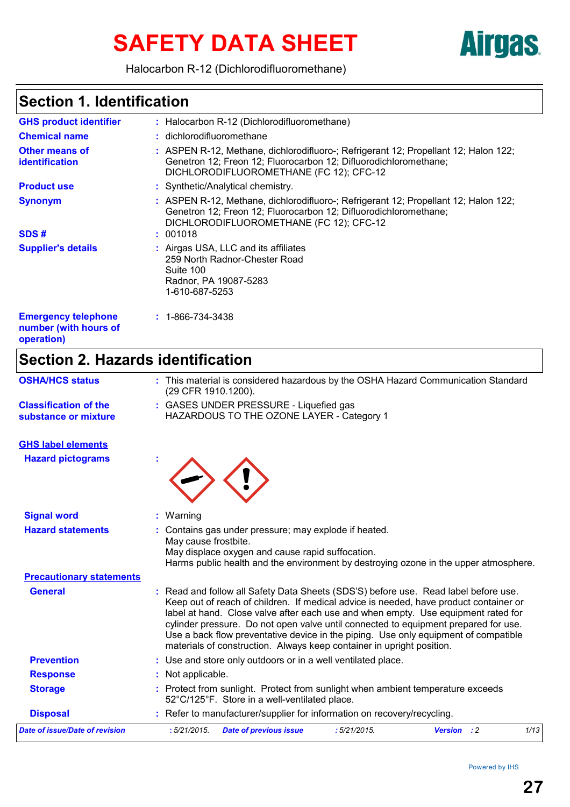# SAFETY DATA SHEET **Airgas**

Halocarbon R-12 (Dichlorodifluoromethane)

### **Section 1. Identification**

| <b>GHS product identifier</b>                                     | : Halocarbon R-12 (Dichlorodifluoromethane)                                                                                                                                                                    |
|-------------------------------------------------------------------|----------------------------------------------------------------------------------------------------------------------------------------------------------------------------------------------------------------|
| <b>Chemical name</b>                                              | : dichlorodifluoromethane                                                                                                                                                                                      |
| <b>Other means of</b><br><b>identification</b>                    | : ASPEN R-12, Methane, dichlorodifluoro-; Refrigerant 12; Propellant 12; Halon 122;<br>Genetron 12; Freon 12; Fluorocarbon 12; Difluorodichloromethane;<br>DICHLORODIFLUOROMETHANE (FC 12); CFC-12             |
| <b>Product use</b>                                                | : Synthetic/Analytical chemistry.                                                                                                                                                                              |
| <b>Synonym</b><br>SDS#                                            | : ASPEN R-12, Methane, dichlorodifluoro-; Refrigerant 12; Propellant 12; Halon 122;<br>Genetron 12; Freon 12; Fluorocarbon 12; Difluorodichloromethane;<br>DICHLORODIFLUOROMETHANE (FC 12); CFC-12<br>: 001018 |
|                                                                   |                                                                                                                                                                                                                |
| <b>Supplier's details</b>                                         | : Airgas USA, LLC and its affiliates<br>259 North Radnor-Chester Road<br>Suite 100<br>Radnor, PA 19087-5283<br>1-610-687-5253                                                                                  |
| <b>Emergency telephone</b><br>number (with hours of<br>operation) | $: 1 - 866 - 734 - 3438$                                                                                                                                                                                       |

### **Section 2. Hazards identification**

| <b>OSHA/HCS status</b>                               | : This material is considered hazardous by the OSHA Hazard Communication Standard<br>(29 CFR 1910.1200).                                                                                                                                                                                                                                                                                                                                                                                                                 |  |  |
|------------------------------------------------------|--------------------------------------------------------------------------------------------------------------------------------------------------------------------------------------------------------------------------------------------------------------------------------------------------------------------------------------------------------------------------------------------------------------------------------------------------------------------------------------------------------------------------|--|--|
| <b>Classification of the</b><br>substance or mixture | : GASES UNDER PRESSURE - Liquefied gas<br>HAZARDOUS TO THE OZONE LAYER - Category 1                                                                                                                                                                                                                                                                                                                                                                                                                                      |  |  |
| <b>GHS label elements</b>                            |                                                                                                                                                                                                                                                                                                                                                                                                                                                                                                                          |  |  |
| <b>Hazard pictograms</b>                             |                                                                                                                                                                                                                                                                                                                                                                                                                                                                                                                          |  |  |
| <b>Signal word</b>                                   | : Warning                                                                                                                                                                                                                                                                                                                                                                                                                                                                                                                |  |  |
| <b>Hazard statements</b>                             | Contains gas under pressure; may explode if heated.<br>May cause frostbite.<br>May displace oxygen and cause rapid suffocation.<br>Harms public health and the environment by destroying ozone in the upper atmosphere.                                                                                                                                                                                                                                                                                                  |  |  |
| <b>Precautionary statements</b>                      |                                                                                                                                                                                                                                                                                                                                                                                                                                                                                                                          |  |  |
| <b>General</b>                                       | : Read and follow all Safety Data Sheets (SDS'S) before use. Read label before use.<br>Keep out of reach of children. If medical advice is needed, have product container or<br>label at hand. Close valve after each use and when empty. Use equipment rated for<br>cylinder pressure. Do not open valve until connected to equipment prepared for use.<br>Use a back flow preventative device in the piping. Use only equipment of compatible<br>materials of construction. Always keep container in upright position. |  |  |
| <b>Prevention</b>                                    | : Use and store only outdoors or in a well ventilated place.                                                                                                                                                                                                                                                                                                                                                                                                                                                             |  |  |
| <b>Response</b>                                      | Not applicable.                                                                                                                                                                                                                                                                                                                                                                                                                                                                                                          |  |  |
| <b>Storage</b>                                       | : Protect from sunlight. Protect from sunlight when ambient temperature exceeds<br>52°C/125°F. Store in a well-ventilated place.                                                                                                                                                                                                                                                                                                                                                                                         |  |  |
| <b>Disposal</b>                                      | : Refer to manufacturer/supplier for information on recovery/recycling.                                                                                                                                                                                                                                                                                                                                                                                                                                                  |  |  |
| <b>Date of issue/Date of revision</b>                | 1/13<br>:5/21/2015.<br><b>Date of previous issue</b><br>:5/21/2015.<br><b>Version</b> : 2                                                                                                                                                                                                                                                                                                                                                                                                                                |  |  |
|                                                      |                                                                                                                                                                                                                                                                                                                                                                                                                                                                                                                          |  |  |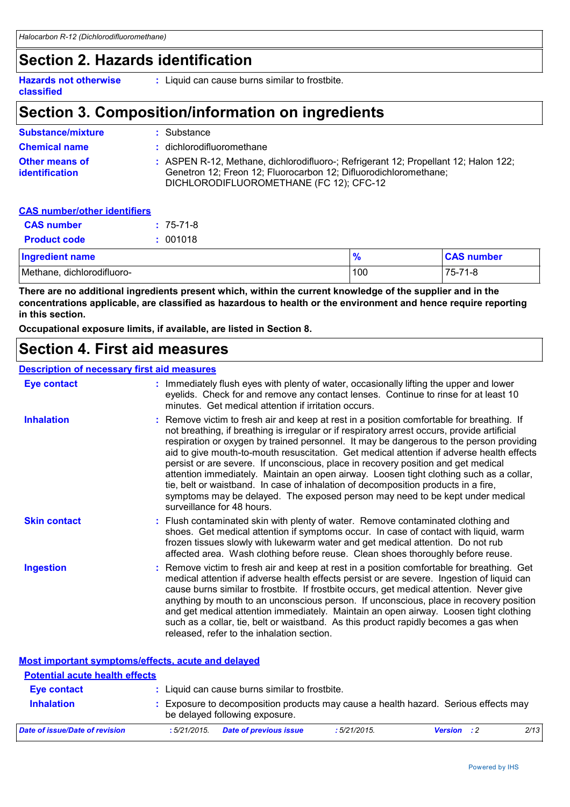### **Section 2. Hazards identification**

**Hazards not otherwise classified**

**:** Liquid can cause burns similar to frostbite.

### **Section 3. Composition/information on ingredients**

| <b>Substance/mixture</b>                | : Substance                                                                                                                                                                                        |
|-----------------------------------------|----------------------------------------------------------------------------------------------------------------------------------------------------------------------------------------------------|
| <b>Chemical name</b>                    | : dichlorodifluoromethane                                                                                                                                                                          |
| Other means of<br><b>identification</b> | : ASPEN R-12, Methane, dichlorodifluoro-; Refrigerant 12; Propellant 12; Halon 122;<br>Genetron 12; Freon 12; Fluorocarbon 12; Difluorodichloromethane;<br>DICHLORODIFLUOROMETHANE (FC 12); CFC-12 |

#### **CAS number/other identifiers**

| <b>CAS number</b>          | $: 75-71-8$ |               |                   |
|----------------------------|-------------|---------------|-------------------|
| <b>Product code</b>        | : 001018    |               |                   |
| <b>Ingredient name</b>     |             | $\frac{9}{6}$ | <b>CAS number</b> |
| Methane, dichlorodifluoro- |             | 100           | 75-71-8           |

**There are no additional ingredients present which, within the current knowledge of the supplier and in the concentrations applicable, are classified as hazardous to health or the environment and hence require reporting in this section.**

**Occupational exposure limits, if available, are listed in Section 8.**

### **Section 4. First aid measures**

#### **Description of necessary first aid measures**

| <b>Eye contact</b>  | : Immediately flush eyes with plenty of water, occasionally lifting the upper and lower<br>eyelids. Check for and remove any contact lenses. Continue to rinse for at least 10<br>minutes. Get medical attention if irritation occurs.                                                                                                                                                                                                                                                                                                                                                                                                                                                                                                                                 |
|---------------------|------------------------------------------------------------------------------------------------------------------------------------------------------------------------------------------------------------------------------------------------------------------------------------------------------------------------------------------------------------------------------------------------------------------------------------------------------------------------------------------------------------------------------------------------------------------------------------------------------------------------------------------------------------------------------------------------------------------------------------------------------------------------|
| <b>Inhalation</b>   | : Remove victim to fresh air and keep at rest in a position comfortable for breathing. If<br>not breathing, if breathing is irregular or if respiratory arrest occurs, provide artificial<br>respiration or oxygen by trained personnel. It may be dangerous to the person providing<br>aid to give mouth-to-mouth resuscitation. Get medical attention if adverse health effects<br>persist or are severe. If unconscious, place in recovery position and get medical<br>attention immediately. Maintain an open airway. Loosen tight clothing such as a collar,<br>tie, belt or waistband. In case of inhalation of decomposition products in a fire,<br>symptoms may be delayed. The exposed person may need to be kept under medical<br>surveillance for 48 hours. |
| <b>Skin contact</b> | : Flush contaminated skin with plenty of water. Remove contaminated clothing and<br>shoes. Get medical attention if symptoms occur. In case of contact with liquid, warm<br>frozen tissues slowly with lukewarm water and get medical attention. Do not rub<br>affected area. Wash clothing before reuse. Clean shoes thoroughly before reuse.                                                                                                                                                                                                                                                                                                                                                                                                                         |
| <b>Ingestion</b>    | : Remove victim to fresh air and keep at rest in a position comfortable for breathing. Get<br>medical attention if adverse health effects persist or are severe. Ingestion of liquid can<br>cause burns similar to frostbite. If frostbite occurs, get medical attention. Never give<br>anything by mouth to an unconscious person. If unconscious, place in recovery position<br>and get medical attention immediately. Maintain an open airway. Loosen tight clothing<br>such as a collar, tie, belt or waistband. As this product rapidly becomes a gas when<br>released, refer to the inhalation section.                                                                                                                                                          |

**Most important symptoms/effects, acute and delayed**

| <b>Potential acute health effects</b> |             |                                                                                                                       |                |                    |      |
|---------------------------------------|-------------|-----------------------------------------------------------------------------------------------------------------------|----------------|--------------------|------|
| <b>Eye contact</b>                    |             | : Liquid can cause burns similar to frostbite.                                                                        |                |                    |      |
| <b>Inhalation</b>                     |             | : Exposure to decomposition products may cause a health hazard. Serious effects may<br>be delayed following exposure. |                |                    |      |
| Date of issue/Date of revision        | :5/21/2015. | <b>Date of previous issue</b>                                                                                         | $:5/21/2015$ . | <b>Version</b> : 2 | 2/13 |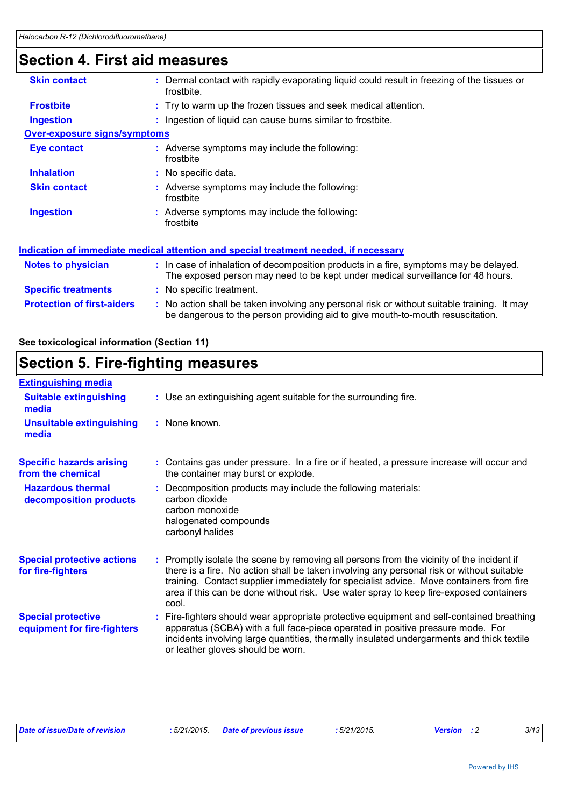### **Section 4. First aid measures**

| <b>Skin contact</b>                 | Dermal contact with rapidly evaporating liquid could result in freezing of the tissues or<br>frostbite.                                                                  |
|-------------------------------------|--------------------------------------------------------------------------------------------------------------------------------------------------------------------------|
| <b>Frostbite</b>                    | : Try to warm up the frozen tissues and seek medical attention.                                                                                                          |
| <b>Ingestion</b>                    | : Ingestion of liquid can cause burns similar to frostbite.                                                                                                              |
| <b>Over-exposure signs/symptoms</b> |                                                                                                                                                                          |
| Eye contact                         | : Adverse symptoms may include the following:<br>frostbite                                                                                                               |
| <b>Inhalation</b>                   | : No specific data.                                                                                                                                                      |
| <b>Skin contact</b>                 | : Adverse symptoms may include the following:<br>frostbite                                                                                                               |
| <b>Ingestion</b>                    | : Adverse symptoms may include the following:<br>frostbite                                                                                                               |
|                                     | Indication of immediate medical attention and special treatment needed, if necessary                                                                                     |
| Notes to physician                  | : In case of inhalation of decomposition products in a fire, symptoms may be delayed.<br>The exposed person may need to be kept under medical surveillance for 48 hours. |
| <b>Specific treatments</b>          | : No specific treatment.                                                                                                                                                 |
| <b>Protection of first-aiders</b>   | : No action shall be taken involving any personal risk or without suitable training. It may                                                                              |

### **See toxicological information (Section 11)**

#### **Section 5. Fire-fighting measures** Use an extinguishing agent suitable for the surrounding fire. **: Extinguishing media :** None known. **Suitable extinguishing media Unsuitable extinguishing**

| media                                                    |                                                                                                                                                                                                                                                                                                                                                                                      |
|----------------------------------------------------------|--------------------------------------------------------------------------------------------------------------------------------------------------------------------------------------------------------------------------------------------------------------------------------------------------------------------------------------------------------------------------------------|
| <b>Specific hazards arising</b><br>from the chemical     | : Contains gas under pressure. In a fire or if heated, a pressure increase will occur and<br>the container may burst or explode.                                                                                                                                                                                                                                                     |
| <b>Hazardous thermal</b><br>decomposition products       | : Decomposition products may include the following materials:<br>carbon dioxide<br>carbon monoxide<br>halogenated compounds<br>carbonyl halides                                                                                                                                                                                                                                      |
| <b>Special protective actions</b><br>for fire-fighters   | : Promptly isolate the scene by removing all persons from the vicinity of the incident if<br>there is a fire. No action shall be taken involving any personal risk or without suitable<br>training. Contact supplier immediately for specialist advice. Move containers from fire<br>area if this can be done without risk. Use water spray to keep fire-exposed containers<br>cool. |
| <b>Special protective</b><br>equipment for fire-fighters | Fire-fighters should wear appropriate protective equipment and self-contained breathing<br>apparatus (SCBA) with a full face-piece operated in positive pressure mode. For<br>incidents involving large quantities, thermally insulated undergarments and thick textile<br>or leather gloves should be worn.                                                                         |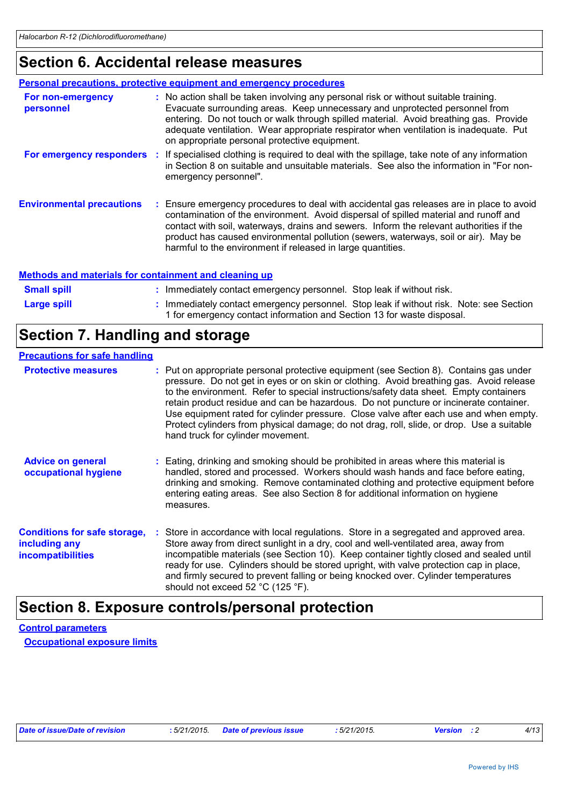### **Section 6. Accidental release measures**

| <b>Personal precautions, protective equipment and emergency procedures</b> |  |                                                                                                                                                                                                                                                                                                                                                                                                                                   |  |
|----------------------------------------------------------------------------|--|-----------------------------------------------------------------------------------------------------------------------------------------------------------------------------------------------------------------------------------------------------------------------------------------------------------------------------------------------------------------------------------------------------------------------------------|--|
| For non-emergency<br>personnel                                             |  | : No action shall be taken involving any personal risk or without suitable training.<br>Evacuate surrounding areas. Keep unnecessary and unprotected personnel from<br>entering. Do not touch or walk through spilled material. Avoid breathing gas. Provide<br>adequate ventilation. Wear appropriate respirator when ventilation is inadequate. Put<br>on appropriate personal protective equipment.                            |  |
|                                                                            |  | For emergency responders : If specialised clothing is required to deal with the spillage, take note of any information<br>in Section 8 on suitable and unsuitable materials. See also the information in "For non-<br>emergency personnel".                                                                                                                                                                                       |  |
| <b>Environmental precautions</b>                                           |  | : Ensure emergency procedures to deal with accidental gas releases are in place to avoid<br>contamination of the environment. Avoid dispersal of spilled material and runoff and<br>contact with soil, waterways, drains and sewers. Inform the relevant authorities if the<br>product has caused environmental pollution (sewers, waterways, soil or air). May be<br>harmful to the environment if released in large quantities. |  |

#### **Methods and materials for containment and cleaning up**

| <b>Small spill</b> | : Immediately contact emergency personnel. Stop leak if without risk.                                                                                             |  |
|--------------------|-------------------------------------------------------------------------------------------------------------------------------------------------------------------|--|
| <b>Large spill</b> | : Immediately contact emergency personnel. Stop leak if without risk. Note: see Section<br>1 for emergency contact information and Section 13 for waste disposal. |  |

### **Section 7. Handling and storage**

#### **Precautions for safe handling**

| <b>Protective measures</b>                                                       | : Put on appropriate personal protective equipment (see Section 8). Contains gas under<br>pressure. Do not get in eyes or on skin or clothing. Avoid breathing gas. Avoid release<br>to the environment. Refer to special instructions/safety data sheet. Empty containers<br>retain product residue and can be hazardous. Do not puncture or incinerate container.<br>Use equipment rated for cylinder pressure. Close valve after each use and when empty.<br>Protect cylinders from physical damage; do not drag, roll, slide, or drop. Use a suitable<br>hand truck for cylinder movement. |
|----------------------------------------------------------------------------------|------------------------------------------------------------------------------------------------------------------------------------------------------------------------------------------------------------------------------------------------------------------------------------------------------------------------------------------------------------------------------------------------------------------------------------------------------------------------------------------------------------------------------------------------------------------------------------------------|
| <b>Advice on general</b><br>occupational hygiene                                 | : Eating, drinking and smoking should be prohibited in areas where this material is<br>handled, stored and processed. Workers should wash hands and face before eating,<br>drinking and smoking. Remove contaminated clothing and protective equipment before<br>entering eating areas. See also Section 8 for additional information on hygiene<br>measures.                                                                                                                                                                                                                                  |
| <b>Conditions for safe storage,</b><br>including any<br><i>incompatibilities</i> | Store in accordance with local regulations. Store in a segregated and approved area.<br>Store away from direct sunlight in a dry, cool and well-ventilated area, away from<br>incompatible materials (see Section 10). Keep container tightly closed and sealed until<br>ready for use. Cylinders should be stored upright, with valve protection cap in place,<br>and firmly secured to prevent falling or being knocked over. Cylinder temperatures<br>should not exceed 52 $^{\circ}$ C (125 $^{\circ}$ F).                                                                                 |

### **Section 8. Exposure controls/personal protection**

**Control parameters Occupational exposure limits**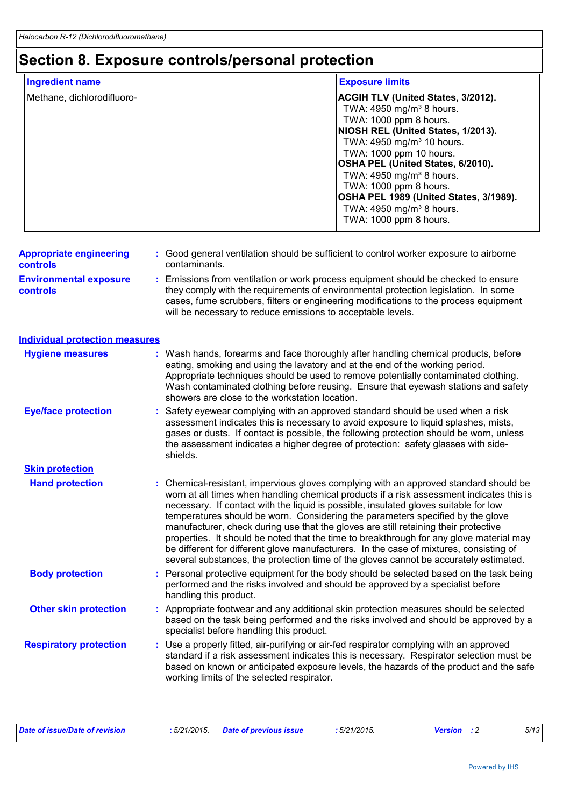### **Section 8. Exposure controls/personal protection**

| <b>Ingredient name</b>     | <b>Exposure limits</b>                    |
|----------------------------|-------------------------------------------|
| Methane, dichlorodifluoro- | <b>ACGIH TLV (United States, 3/2012).</b> |
|                            | TWA: 4950 mg/m <sup>3</sup> 8 hours.      |
|                            | TWA: 1000 ppm 8 hours.                    |
|                            | NIOSH REL (United States, 1/2013).        |
|                            | TWA: 4950 mg/m <sup>3</sup> 10 hours.     |
|                            | TWA: 1000 ppm 10 hours.                   |
|                            | OSHA PEL (United States, 6/2010).         |
|                            | TWA: 4950 mg/m <sup>3</sup> 8 hours.      |
|                            | TWA: 1000 ppm 8 hours.                    |
|                            | OSHA PEL 1989 (United States, 3/1989).    |
|                            | TWA: 4950 mg/m <sup>3</sup> 8 hours.      |
|                            | TWA: 1000 ppm 8 hours.                    |

| <b>Appropriate engineering</b> | : Good general ventilation should be sufficient to control worker exposure to airborne |
|--------------------------------|----------------------------------------------------------------------------------------|
| <b>controls</b>                | contaminants.                                                                          |

**Environmental exposure controls :** Emissions from ventilation or work process equipment should be checked to ensure they comply with the requirements of environmental protection legislation. In some cases, fume scrubbers, filters or engineering modifications to the process equipment will be necessary to reduce emissions to acceptable levels.

#### **Individual protection measures**

| <b>Hygiene measures</b>       | : Wash hands, forearms and face thoroughly after handling chemical products, before<br>eating, smoking and using the lavatory and at the end of the working period.<br>Appropriate techniques should be used to remove potentially contaminated clothing.<br>Wash contaminated clothing before reusing. Ensure that eyewash stations and safety<br>showers are close to the workstation location.                                                                                                                                                                                                                                                                                                                                |
|-------------------------------|----------------------------------------------------------------------------------------------------------------------------------------------------------------------------------------------------------------------------------------------------------------------------------------------------------------------------------------------------------------------------------------------------------------------------------------------------------------------------------------------------------------------------------------------------------------------------------------------------------------------------------------------------------------------------------------------------------------------------------|
| <b>Eye/face protection</b>    | : Safety eyewear complying with an approved standard should be used when a risk<br>assessment indicates this is necessary to avoid exposure to liquid splashes, mists,<br>gases or dusts. If contact is possible, the following protection should be worn, unless<br>the assessment indicates a higher degree of protection: safety glasses with side-<br>shields.                                                                                                                                                                                                                                                                                                                                                               |
| <b>Skin protection</b>        |                                                                                                                                                                                                                                                                                                                                                                                                                                                                                                                                                                                                                                                                                                                                  |
| <b>Hand protection</b>        | : Chemical-resistant, impervious gloves complying with an approved standard should be<br>worn at all times when handling chemical products if a risk assessment indicates this is<br>necessary. If contact with the liquid is possible, insulated gloves suitable for low<br>temperatures should be worn. Considering the parameters specified by the glove<br>manufacturer, check during use that the gloves are still retaining their protective<br>properties. It should be noted that the time to breakthrough for any glove material may<br>be different for different glove manufacturers. In the case of mixtures, consisting of<br>several substances, the protection time of the gloves cannot be accurately estimated. |
| <b>Body protection</b>        | : Personal protective equipment for the body should be selected based on the task being<br>performed and the risks involved and should be approved by a specialist before<br>handling this product.                                                                                                                                                                                                                                                                                                                                                                                                                                                                                                                              |
| <b>Other skin protection</b>  | : Appropriate footwear and any additional skin protection measures should be selected<br>based on the task being performed and the risks involved and should be approved by a<br>specialist before handling this product.                                                                                                                                                                                                                                                                                                                                                                                                                                                                                                        |
| <b>Respiratory protection</b> | : Use a properly fitted, air-purifying or air-fed respirator complying with an approved<br>standard if a risk assessment indicates this is necessary. Respirator selection must be<br>based on known or anticipated exposure levels, the hazards of the product and the safe<br>working limits of the selected respirator.                                                                                                                                                                                                                                                                                                                                                                                                       |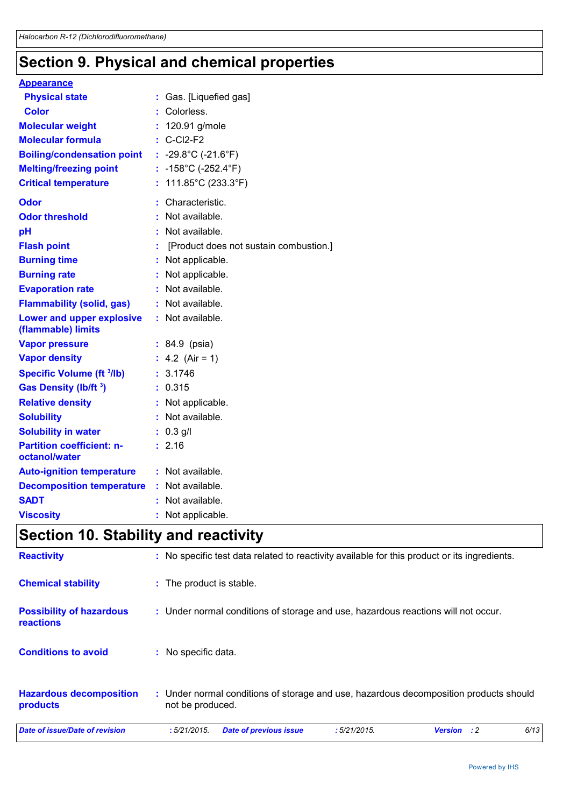### **Section 9. Physical and chemical properties**

| <b>Appearance</b>                                 |                                           |
|---------------------------------------------------|-------------------------------------------|
| <b>Physical state</b>                             | : Gas. [Liquefied gas]                    |
| <b>Color</b>                                      | Colorless.                                |
| <b>Molecular weight</b>                           | : 120.91 g/mole                           |
| <b>Molecular formula</b>                          | $\therefore$ C-Cl2-F2                     |
| <b>Boiling/condensation point</b>                 | : -29.8°C (-21.6°F)                       |
| <b>Melting/freezing point</b>                     | : $-158^{\circ}$ C ( $-252.4^{\circ}$ F)  |
| <b>Critical temperature</b>                       | : $111.85^{\circ}$ C (233.3 $^{\circ}$ F) |
| <b>Odor</b>                                       | Characteristic.                           |
| <b>Odor threshold</b>                             | : Not available.                          |
| pH                                                | Not available.                            |
| <b>Flash point</b>                                | [Product does not sustain combustion.]    |
| <b>Burning time</b>                               | Not applicable.                           |
| <b>Burning rate</b>                               | Not applicable.                           |
| <b>Evaporation rate</b>                           | : Not available.                          |
| <b>Flammability (solid, gas)</b>                  | : Not available.                          |
| Lower and upper explosive<br>(flammable) limits   | : Not available.                          |
| <b>Vapor pressure</b>                             | $: 84.9$ (psia)                           |
| <b>Vapor density</b>                              | : 4.2 (Air = 1)                           |
| <b>Specific Volume (ft 3/lb)</b>                  | : 3.1746                                  |
| Gas Density (lb/ft <sup>3</sup> )                 | : 0.315                                   |
| <b>Relative density</b>                           | : Not applicable.                         |
| <b>Solubility</b>                                 | Not available.                            |
| <b>Solubility in water</b>                        | $: 0.3$ g/l                               |
| <b>Partition coefficient: n-</b><br>octanol/water | : 2.16                                    |
| <b>Auto-ignition temperature</b>                  | : Not available.                          |
| <b>Decomposition temperature</b>                  | Not available.                            |
| <b>SADT</b>                                       | Not available.                            |
| <b>Viscosity</b>                                  | : Not applicable.                         |

## **Section 10. Stability and reactivity**

| Date of issue/Date of revision                      | 6/13<br>:5/21/2015.<br><b>Date of previous issue</b><br>:5/21/2015.<br><b>Version</b><br>$\cdot$ :2       |
|-----------------------------------------------------|-----------------------------------------------------------------------------------------------------------|
| <b>Hazardous decomposition</b><br>products          | : Under normal conditions of storage and use, hazardous decomposition products should<br>not be produced. |
| <b>Conditions to avoid</b>                          | : No specific data.                                                                                       |
| <b>Possibility of hazardous</b><br><b>reactions</b> | : Under normal conditions of storage and use, hazardous reactions will not occur.                         |
| <b>Chemical stability</b>                           | : The product is stable.                                                                                  |
| <b>Reactivity</b>                                   | : No specific test data related to reactivity available for this product or its ingredients.              |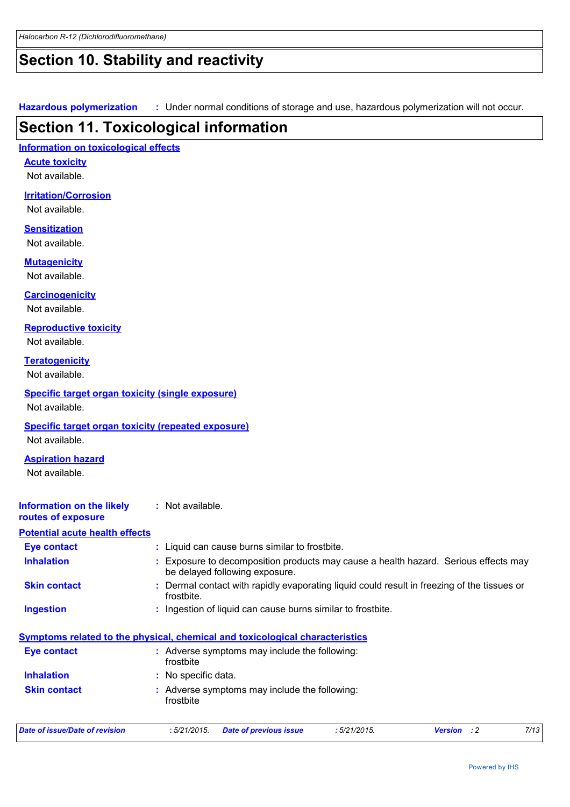### **Section 10. Stability and reactivity**

**Hazardous polymerization :** Under normal conditions of storage and use, hazardous polymerization will not occur.

### **Section 11. Toxicological information**

#### **Information on toxicological effects**

**Acute toxicity** Not available.

#### **Irritation/Corrosion**

Not available.

#### **Sensitization**

Not available.

#### **Mutagenicity**

Not available.

#### **Carcinogenicity**

Not available.

#### **Reproductive toxicity**

Not available.

#### **Teratogenicity**

Not available.

#### **Specific target organ toxicity (single exposure)**

Not available.

#### **Specific target organ toxicity (repeated exposure)**

Not available.

#### **Aspiration hazard**

Not available.

#### **Information on the likely routes of exposure :** Not available.

#### **Potential acute health effects**

| <b>Eye contact</b>  | : Liquid can cause burns similar to frostbite.                                                                        |
|---------------------|-----------------------------------------------------------------------------------------------------------------------|
| <b>Inhalation</b>   | : Exposure to decomposition products may cause a health hazard. Serious effects may<br>be delayed following exposure. |
| <b>Skin contact</b> | : Dermal contact with rapidly evaporating liquid could result in freezing of the tissues or<br>frostbite.             |
| Ingestion           | : Ingestion of liquid can cause burns similar to frostbite.                                                           |

#### **Symptoms related to the physical, chemical and toxicological characteristics Inhalation :** No specific data. **Eye contact :** Adverse symptoms may include the following: frostbite

#### **Skin contact** Adverse symptoms may include the following: **:** frostbite

| Date of issue/Date of revision | : 5/21/2015. Date of previous issue | :5/21/2015. | Version | 7/13 |
|--------------------------------|-------------------------------------|-------------|---------|------|
|                                |                                     |             |         |      |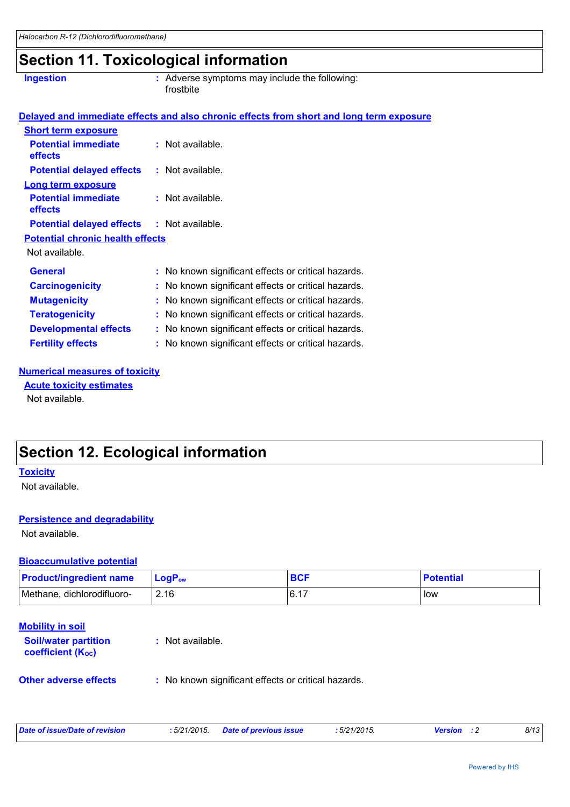### **Section 11. Toxicological information**

| <b>Ingestion</b> |  |
|------------------|--|
|                  |  |

**Ingestion Adverse symptoms may include the following:**  $\blacksquare$ frostbite

|                                                   | Delayed and immediate effects and also chronic effects from short and long term exposure |
|---------------------------------------------------|------------------------------------------------------------------------------------------|
| <b>Short term exposure</b>                        |                                                                                          |
| <b>Potential immediate</b><br><b>effects</b>      | : Not available.                                                                         |
| <b>Potential delayed effects</b>                  | : Not available.                                                                         |
| <b>Long term exposure</b>                         |                                                                                          |
| <b>Potential immediate</b><br><b>effects</b>      | : Not available.                                                                         |
| <b>Potential delayed effects : Not available.</b> |                                                                                          |
| <b>Potential chronic health effects</b>           |                                                                                          |
| Not available.                                    |                                                                                          |
| <b>General</b>                                    | : No known significant effects or critical hazards.                                      |
| <b>Carcinogenicity</b>                            | : No known significant effects or critical hazards.                                      |
| <b>Mutagenicity</b>                               | : No known significant effects or critical hazards.                                      |
| <b>Teratogenicity</b>                             | : No known significant effects or critical hazards.                                      |
| <b>Developmental effects</b>                      | : No known significant effects or critical hazards.                                      |
| <b>Fertility effects</b>                          | : No known significant effects or critical hazards.                                      |

#### **Numerical measures of toxicity**

Not available. **Acute toxicity estimates**

### **Section 12. Ecological information**

#### **Toxicity**

Not available.

#### **Persistence and degradability**

Not available.

#### **Bioaccumulative potential**

| <b>Product/ingredient name</b> | $LoaPow$ | <b>BCF</b> | <b>Potential</b> |
|--------------------------------|----------|------------|------------------|
| Methane, dichlorodifluoro-     | 2.16     | 16.17      | low              |

#### **Mobility in soil**

**Soil/water partition coefficient (Koc)** 

**:** Not available.

**Other adverse effects** : No known significant effects or critical hazards.

| Date of issue/Date of revision | : 5/21/2015. Date of previous issue | : 5/21/2015. | <b>Version</b> : 2 | 8/13 |
|--------------------------------|-------------------------------------|--------------|--------------------|------|
|                                |                                     |              |                    |      |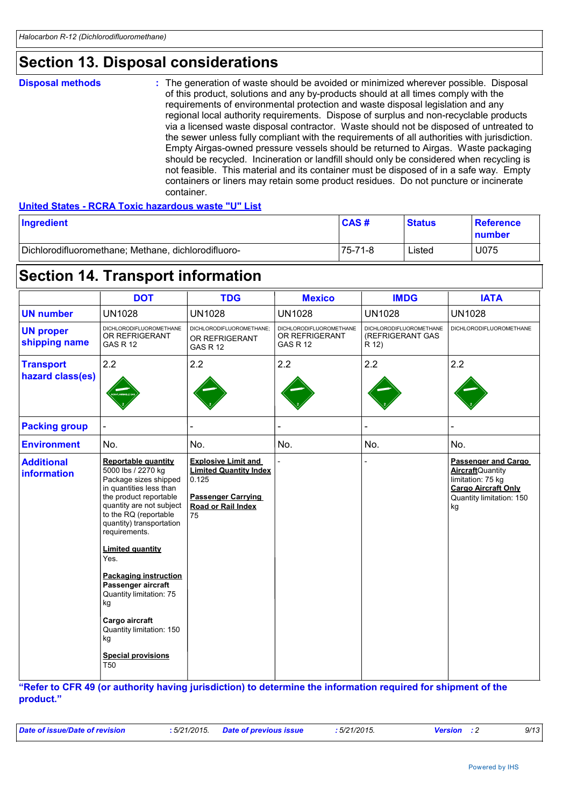### **Section 13. Disposal considerations**

**Disposal methods :**

The generation of waste should be avoided or minimized wherever possible. Disposal of this product, solutions and any by-products should at all times comply with the requirements of environmental protection and waste disposal legislation and any regional local authority requirements. Dispose of surplus and non-recyclable products via a licensed waste disposal contractor. Waste should not be disposed of untreated to the sewer unless fully compliant with the requirements of all authorities with jurisdiction. Empty Airgas-owned pressure vessels should be returned to Airgas. Waste packaging should be recycled. Incineration or landfill should only be considered when recycling is not feasible. This material and its container must be disposed of in a safe way. Empty containers or liners may retain some product residues. Do not puncture or incinerate container.

#### **United States - RCRA Toxic hazardous waste "U" List**

| Ingredient                                          | CAS#    | <b>Status</b> | <b>Reference</b><br>∣number |
|-----------------------------------------------------|---------|---------------|-----------------------------|
| Dichlorodifluoromethane; Methane, dichlorodifluoro- | 75-71-8 | ∟isted        | U075                        |

### **Section 14. Transport information**

|                                         | <b>DOT</b>                                                                                                                                                                                                                                                                                                                                                                                                                                                     | <b>TDG</b>                                                                                                                    | <b>Mexico</b>                                                       | <b>IMDG</b>                                                 | <b>IATA</b>                                                                                                                          |
|-----------------------------------------|----------------------------------------------------------------------------------------------------------------------------------------------------------------------------------------------------------------------------------------------------------------------------------------------------------------------------------------------------------------------------------------------------------------------------------------------------------------|-------------------------------------------------------------------------------------------------------------------------------|---------------------------------------------------------------------|-------------------------------------------------------------|--------------------------------------------------------------------------------------------------------------------------------------|
| <b>UN number</b>                        | <b>UN1028</b>                                                                                                                                                                                                                                                                                                                                                                                                                                                  | <b>UN1028</b>                                                                                                                 | <b>UN1028</b>                                                       | <b>UN1028</b>                                               | <b>UN1028</b>                                                                                                                        |
| <b>UN proper</b><br>shipping name       | <b>DICHLORODIFLUOROMETHANE</b><br>OR REFRIGERANT<br><b>GAS R 12</b>                                                                                                                                                                                                                                                                                                                                                                                            | DICHLORODIFLUOROMETHANE;<br>OR REFRIGERANT<br><b>GAS R 12</b>                                                                 | <b>DICHLORODIFLUOROMETHANE</b><br>OR REFRIGERANT<br><b>GAS R 12</b> | <b>DICHLORODIFLUOROMETHANE</b><br>(REFRIGERANT GAS<br>R 12) | <b>DICHLORODIFLUOROMETHANE</b>                                                                                                       |
| <b>Transport</b><br>hazard class(es)    | 2.2                                                                                                                                                                                                                                                                                                                                                                                                                                                            | 2.2                                                                                                                           | 2.2                                                                 | 2.2                                                         | 2.2                                                                                                                                  |
| <b>Packing group</b>                    |                                                                                                                                                                                                                                                                                                                                                                                                                                                                |                                                                                                                               |                                                                     |                                                             |                                                                                                                                      |
| <b>Environment</b>                      | No.                                                                                                                                                                                                                                                                                                                                                                                                                                                            | No.                                                                                                                           | No.                                                                 | No.                                                         | No.                                                                                                                                  |
| <b>Additional</b><br><b>information</b> | <b>Reportable quantity</b><br>5000 lbs / 2270 kg<br>Package sizes shipped<br>in quantities less than<br>the product reportable<br>quantity are not subject<br>to the RQ (reportable<br>quantity) transportation<br>requirements.<br><b>Limited quantity</b><br>Yes.<br><b>Packaging instruction</b><br>Passenger aircraft<br>Quantity limitation: 75<br>kg<br>Cargo aircraft<br>Quantity limitation: 150<br>kg<br><b>Special provisions</b><br>T <sub>50</sub> | <b>Explosive Limit and</b><br><b>Limited Quantity Index</b><br>0.125<br><b>Passenger Carrying</b><br>Road or Rail Index<br>75 |                                                                     |                                                             | Passenger and Cargo<br><b>Aircraft</b> Quantity<br>limitation: 75 kg<br><b>Cargo Aircraft Only</b><br>Quantity limitation: 150<br>kg |

**"Refer to CFR 49 (or authority having jurisdiction) to determine the information required for shipment of the product."** 

|  |  | Date of issue/Date of revision |  |
|--|--|--------------------------------|--|
|  |  |                                |  |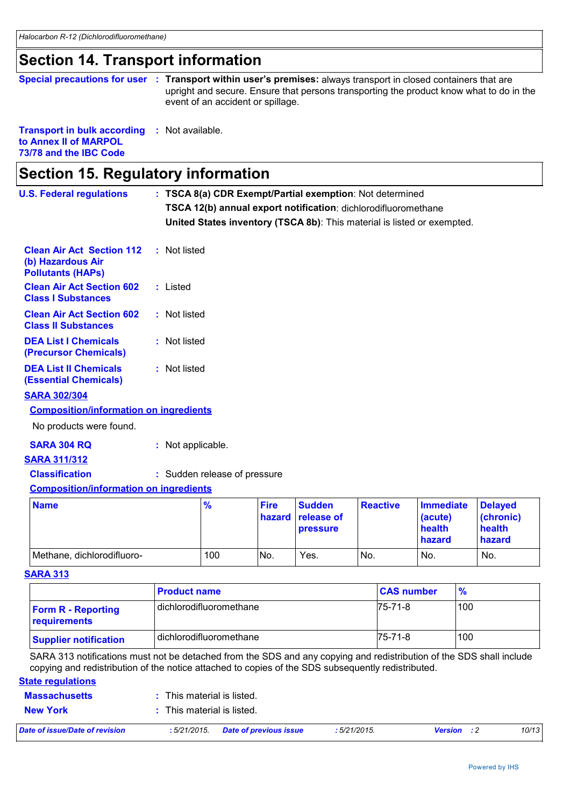### **Section 14. Transport information**

|  | Special precautions for user : Transport within user's premises: always transport in closed containers that are |
|--|-----------------------------------------------------------------------------------------------------------------|
|  | upright and secure. Ensure that persons transporting the product know what to do in the                         |
|  | event of an accident or spillage.                                                                               |

#### **Transport in bulk according :** Not available. **to Annex II of MARPOL**

**73/78 and the IBC Code**

| <b>U.S. Federal regulations</b>                                                   | : TSCA 8(a) CDR Exempt/Partial exemption: Not determined |                     |                              |                       |                                                                         |         |                   |                                                 |               |                                                 |
|-----------------------------------------------------------------------------------|----------------------------------------------------------|---------------------|------------------------------|-----------------------|-------------------------------------------------------------------------|---------|-------------------|-------------------------------------------------|---------------|-------------------------------------------------|
|                                                                                   |                                                          |                     |                              |                       | TSCA 12(b) annual export notification: dichlorodifluoromethane          |         |                   |                                                 |               |                                                 |
|                                                                                   |                                                          |                     |                              |                       | United States inventory (TSCA 8b): This material is listed or exempted. |         |                   |                                                 |               |                                                 |
| <b>Clean Air Act Section 112</b><br>(b) Hazardous Air<br><b>Pollutants (HAPs)</b> |                                                          | : Not listed        |                              |                       |                                                                         |         |                   |                                                 |               |                                                 |
| <b>Clean Air Act Section 602</b><br><b>Class I Substances</b>                     |                                                          | : Listed            |                              |                       |                                                                         |         |                   |                                                 |               |                                                 |
| <b>Clean Air Act Section 602</b><br><b>Class II Substances</b>                    |                                                          | : Not listed        |                              |                       |                                                                         |         |                   |                                                 |               |                                                 |
| <b>DEA List I Chemicals</b><br>(Precursor Chemicals)                              |                                                          | : Not listed        |                              |                       |                                                                         |         |                   |                                                 |               |                                                 |
| <b>DEA List II Chemicals</b><br><b>(Essential Chemicals)</b>                      |                                                          | : Not listed        |                              |                       |                                                                         |         |                   |                                                 |               |                                                 |
| <b>SARA 302/304</b>                                                               |                                                          |                     |                              |                       |                                                                         |         |                   |                                                 |               |                                                 |
| <b>Composition/information on ingredients</b>                                     |                                                          |                     |                              |                       |                                                                         |         |                   |                                                 |               |                                                 |
| No products were found.                                                           |                                                          |                     |                              |                       |                                                                         |         |                   |                                                 |               |                                                 |
| <b>SARA 304 RQ</b>                                                                |                                                          | : Not applicable.   |                              |                       |                                                                         |         |                   |                                                 |               |                                                 |
| <b>SARA 311/312</b>                                                               |                                                          |                     |                              |                       |                                                                         |         |                   |                                                 |               |                                                 |
| <b>Classification</b>                                                             |                                                          |                     | : Sudden release of pressure |                       |                                                                         |         |                   |                                                 |               |                                                 |
| <b>Composition/information on ingredients</b>                                     |                                                          |                     |                              |                       |                                                                         |         |                   |                                                 |               |                                                 |
| <b>Name</b>                                                                       |                                                          |                     | $\frac{9}{6}$                | <b>Fire</b><br>hazard | <b>Sudden</b><br>release of<br>pressure                                 |         | <b>Reactive</b>   | <b>Immediate</b><br>(acute)<br>health<br>hazard |               | <b>Delayed</b><br>(chronic)<br>health<br>hazard |
| Methane, dichlorodifluoro-                                                        |                                                          |                     | 100                          | No.                   | Yes.                                                                    | No.     |                   | No.                                             |               | No.                                             |
| <b>SARA 313</b>                                                                   |                                                          |                     |                              |                       |                                                                         |         |                   |                                                 |               |                                                 |
|                                                                                   |                                                          | <b>Product name</b> |                              |                       |                                                                         |         | <b>CAS number</b> |                                                 | $\frac{9}{6}$ |                                                 |
| <b>Form R - Reporting</b><br>requirements                                         |                                                          |                     | dichlorodifluoromethane      |                       |                                                                         | 75-71-8 |                   | 100                                             |               |                                                 |
| <b>Supplier notification</b>                                                      |                                                          |                     | dichlorodifluoromethane      |                       |                                                                         |         | 75-71-8           |                                                 | 100           |                                                 |
|                                                                                   |                                                          |                     |                              |                       |                                                                         |         |                   |                                                 |               |                                                 |

SARA 313 notifications must not be detached from the SDS and any copying and redistribution of the SDS shall include copying and redistribution of the notice attached to copies of the SDS subsequently redistributed.

#### **State regulations**

| <b>Massachusetts</b>           | This material is listed.                          |                             |
|--------------------------------|---------------------------------------------------|-----------------------------|
| <b>New York</b>                | This material is listed.                          |                             |
| Date of issue/Date of revision | : 5/21/2015 Date of previous issue<br>:5/21/2015. | 10/13<br><b>Version</b> : 2 |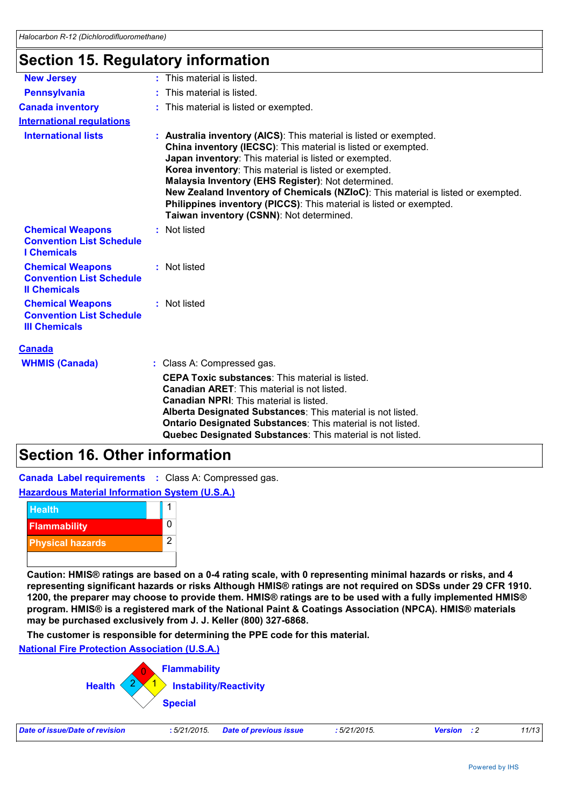### **Section 15. Regulatory information**

| <b>New Jersey</b>                                                                  | : This material is listed.                                                                                                                                                                                                                                                                                                                                                                                                                                                                                         |
|------------------------------------------------------------------------------------|--------------------------------------------------------------------------------------------------------------------------------------------------------------------------------------------------------------------------------------------------------------------------------------------------------------------------------------------------------------------------------------------------------------------------------------------------------------------------------------------------------------------|
| <b>Pennsylvania</b>                                                                | : This material is listed.                                                                                                                                                                                                                                                                                                                                                                                                                                                                                         |
| <b>Canada inventory</b>                                                            | : This material is listed or exempted.                                                                                                                                                                                                                                                                                                                                                                                                                                                                             |
| <b>International requlations</b>                                                   |                                                                                                                                                                                                                                                                                                                                                                                                                                                                                                                    |
| <b>International lists</b>                                                         | : Australia inventory (AICS): This material is listed or exempted.<br>China inventory (IECSC): This material is listed or exempted.<br>Japan inventory: This material is listed or exempted.<br>Korea inventory: This material is listed or exempted.<br>Malaysia Inventory (EHS Register): Not determined.<br>New Zealand Inventory of Chemicals (NZIoC): This material is listed or exempted.<br>Philippines inventory (PICCS): This material is listed or exempted.<br>Taiwan inventory (CSNN): Not determined. |
| <b>Chemical Weapons</b><br><b>Convention List Schedule</b><br><b>I</b> Chemicals   | : Not listed                                                                                                                                                                                                                                                                                                                                                                                                                                                                                                       |
| <b>Chemical Weapons</b><br><b>Convention List Schedule</b><br><b>Il Chemicals</b>  | : Not listed                                                                                                                                                                                                                                                                                                                                                                                                                                                                                                       |
| <b>Chemical Weapons</b><br><b>Convention List Schedule</b><br><b>III Chemicals</b> | : Not listed                                                                                                                                                                                                                                                                                                                                                                                                                                                                                                       |
| <b>Canada</b>                                                                      |                                                                                                                                                                                                                                                                                                                                                                                                                                                                                                                    |
| <b>WHMIS (Canada)</b>                                                              | : Class A: Compressed gas.                                                                                                                                                                                                                                                                                                                                                                                                                                                                                         |
|                                                                                    | <b>CEPA Toxic substances:</b> This material is listed.<br>Canadian ARET: This material is not listed.<br>Canadian NPRI: This material is listed.<br>Alberta Designated Substances: This material is not listed.<br>Ontario Designated Substances: This material is not listed.<br>Quebec Designated Substances: This material is not listed.                                                                                                                                                                       |

### **Section 16. Other information**

**Canada Label requirements :** Class A: Compressed gas.



**Caution: HMIS® ratings are based on a 0-4 rating scale, with 0 representing minimal hazards or risks, and 4 representing significant hazards or risks Although HMIS® ratings are not required on SDSs under 29 CFR 1910. 1200, the preparer may choose to provide them. HMIS® ratings are to be used with a fully implemented HMIS® program. HMIS® is a registered mark of the National Paint & Coatings Association (NPCA). HMIS® materials may be purchased exclusively from J. J. Keller (800) 327-6868.**

**The customer is responsible for determining the PPE code for this material.**

**National Fire Protection Association (U.S.A.)**



| Date of issue/Date of revision | : 5/21/2015 Date of previous issue | 5/21/2015. | <b>Version</b> : 2 | 11/13 |
|--------------------------------|------------------------------------|------------|--------------------|-------|
|                                |                                    |            |                    |       |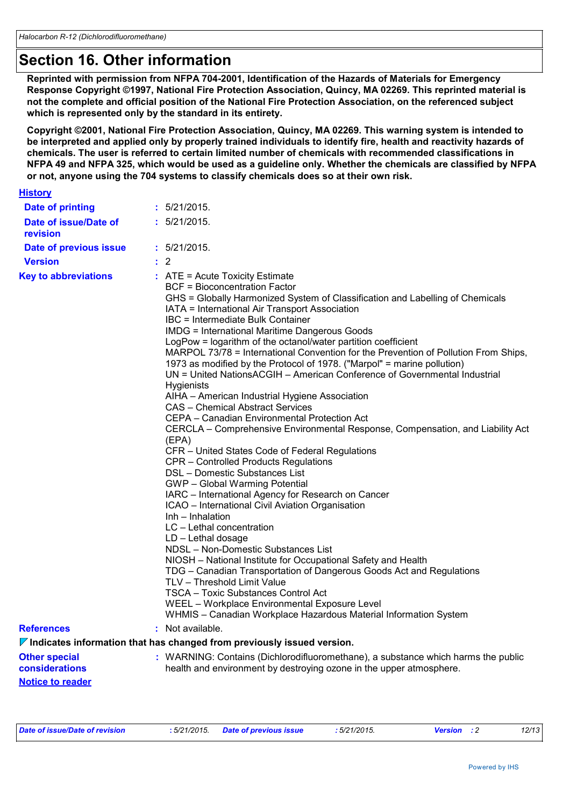### **Section 16. Other information**

**Reprinted with permission from NFPA 704-2001, Identification of the Hazards of Materials for Emergency Response Copyright ©1997, National Fire Protection Association, Quincy, MA 02269. This reprinted material is not the complete and official position of the National Fire Protection Association, on the referenced subject which is represented only by the standard in its entirety.**

**Copyright ©2001, National Fire Protection Association, Quincy, MA 02269. This warning system is intended to be interpreted and applied only by properly trained individuals to identify fire, health and reactivity hazards of chemicals. The user is referred to certain limited number of chemicals with recommended classifications in NFPA 49 and NFPA 325, which would be used as a guideline only. Whether the chemicals are classified by NFPA or not, anyone using the 704 systems to classify chemicals does so at their own risk.**

| <b>History</b> |  |  |
|----------------|--|--|
|                |  |  |

| <b>Date of printing</b>                | : 5/21/2015.                                                                                                                                                                                                                                                                                                                                                                                                                                                                                                                                                                                                                                                                                                                                                                                                                                                                                                                                                                                                                                                                                                                                                                                                                                                                                                                                                                                                                                                                                                                                                                                         |
|----------------------------------------|------------------------------------------------------------------------------------------------------------------------------------------------------------------------------------------------------------------------------------------------------------------------------------------------------------------------------------------------------------------------------------------------------------------------------------------------------------------------------------------------------------------------------------------------------------------------------------------------------------------------------------------------------------------------------------------------------------------------------------------------------------------------------------------------------------------------------------------------------------------------------------------------------------------------------------------------------------------------------------------------------------------------------------------------------------------------------------------------------------------------------------------------------------------------------------------------------------------------------------------------------------------------------------------------------------------------------------------------------------------------------------------------------------------------------------------------------------------------------------------------------------------------------------------------------------------------------------------------------|
| Date of issue/Date of<br>revision      | : 5/21/2015.                                                                                                                                                                                                                                                                                                                                                                                                                                                                                                                                                                                                                                                                                                                                                                                                                                                                                                                                                                                                                                                                                                                                                                                                                                                                                                                                                                                                                                                                                                                                                                                         |
| Date of previous issue                 | : 5/21/2015.                                                                                                                                                                                                                                                                                                                                                                                                                                                                                                                                                                                                                                                                                                                                                                                                                                                                                                                                                                                                                                                                                                                                                                                                                                                                                                                                                                                                                                                                                                                                                                                         |
| <b>Version</b>                         | $\therefore$ 2                                                                                                                                                                                                                                                                                                                                                                                                                                                                                                                                                                                                                                                                                                                                                                                                                                                                                                                                                                                                                                                                                                                                                                                                                                                                                                                                                                                                                                                                                                                                                                                       |
| <b>Key to abbreviations</b>            | $:$ ATE = Acute Toxicity Estimate<br><b>BCF</b> = Bioconcentration Factor<br>GHS = Globally Harmonized System of Classification and Labelling of Chemicals<br>IATA = International Air Transport Association<br>IBC = Intermediate Bulk Container<br><b>IMDG = International Maritime Dangerous Goods</b><br>LogPow = logarithm of the octanol/water partition coefficient<br>MARPOL 73/78 = International Convention for the Prevention of Pollution From Ships,<br>1973 as modified by the Protocol of 1978. ("Marpol" = marine pollution)<br>UN = United NationsACGIH - American Conference of Governmental Industrial<br>Hygienists<br>AIHA - American Industrial Hygiene Association<br>CAS - Chemical Abstract Services<br>CEPA – Canadian Environmental Protection Act<br>CERCLA – Comprehensive Environmental Response, Compensation, and Liability Act<br>(EPA)<br>CFR - United States Code of Federal Regulations<br>CPR - Controlled Products Regulations<br>DSL - Domestic Substances List<br>GWP - Global Warming Potential<br>IARC - International Agency for Research on Cancer<br>ICAO - International Civil Aviation Organisation<br>Inh – Inhalation<br>LC - Lethal concentration<br>LD - Lethal dosage<br>NDSL - Non-Domestic Substances List<br>NIOSH - National Institute for Occupational Safety and Health<br>TDG - Canadian Transportation of Dangerous Goods Act and Regulations<br>TLV - Threshold Limit Value<br>TSCA - Toxic Substances Control Act<br>WEEL - Workplace Environmental Exposure Level<br>WHMIS - Canadian Workplace Hazardous Material Information System |
| <b>References</b>                      | $:$ Not available.                                                                                                                                                                                                                                                                                                                                                                                                                                                                                                                                                                                                                                                                                                                                                                                                                                                                                                                                                                                                                                                                                                                                                                                                                                                                                                                                                                                                                                                                                                                                                                                   |
|                                        | $\nabla$ Indicates information that has changed from previously issued version.                                                                                                                                                                                                                                                                                                                                                                                                                                                                                                                                                                                                                                                                                                                                                                                                                                                                                                                                                                                                                                                                                                                                                                                                                                                                                                                                                                                                                                                                                                                      |
| <b>Other special</b><br>considerations | : WARNING: Contains (Dichlorodifluoromethane), a substance which harms the public<br>health and environment by destroying ozone in the upper atmosphere.                                                                                                                                                                                                                                                                                                                                                                                                                                                                                                                                                                                                                                                                                                                                                                                                                                                                                                                                                                                                                                                                                                                                                                                                                                                                                                                                                                                                                                             |
| <b>Notice to reader</b>                |                                                                                                                                                                                                                                                                                                                                                                                                                                                                                                                                                                                                                                                                                                                                                                                                                                                                                                                                                                                                                                                                                                                                                                                                                                                                                                                                                                                                                                                                                                                                                                                                      |

| Date of issue/Date of revision | : 5/21/2015. Date of previous issue | : 5/21/2015. | <b>Version</b> : 2 | 12/13 |
|--------------------------------|-------------------------------------|--------------|--------------------|-------|
|                                |                                     |              |                    |       |